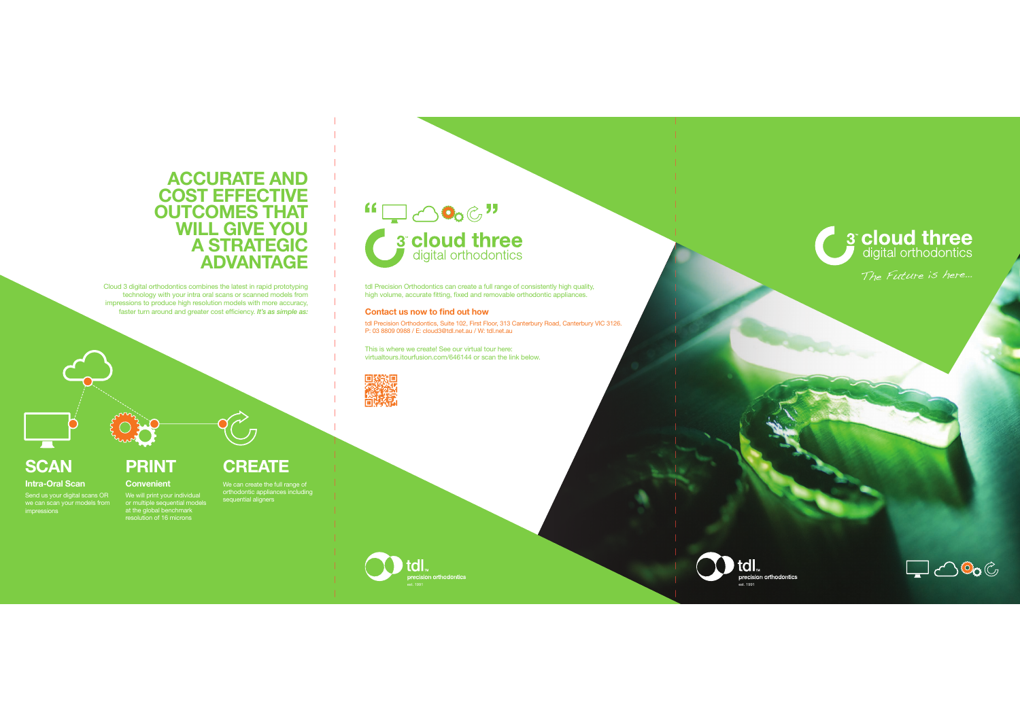### **ACCURATE AND COST EFFECTIVE OUTCOMES THAT WILL GIVE YOU A STRATEGIC ADVANTAGE**

Cloud 3 digital orthodontics combines the latest in rapid prototyping technology with your intra oral scans or scanned models from impressions to produce high resolution models with more accuracy, faster turn around and greater cost efficiency. It's as simple as:

### **CREATE**

**PRINT Convenient**

#### **Intra-Oral Scan**

**SCAN**

Send us your digital scans OR we can scan your models from

# We can create the full range of orthodontic appliances including sequential aligners

We will print your individual or multiple sequential models at the global benchmark resolution of 16 microns



tdl Precision Orthodontics can create a full range of consistently high quality, high volume, accurate fitting, fixed and removable orthodontic appliances.

#### **Contact us now to find out how**

tdl Precision Orthodontics, Suite 102, First Floor, 313 Canterbury Road, Canterbury VIC 3126.<br>P: 03 8809 0988 / E: cloud3@tdl.net.au / W: tdl.net.au

This is where we create! See our virtual tour here: wirtualtours.itourfusion.com/646144 or scan the link below.



**3<sup>°</sup> cloud three** 

and the man

The Future is here…



 $\mathbf{I}$ 



tdl.